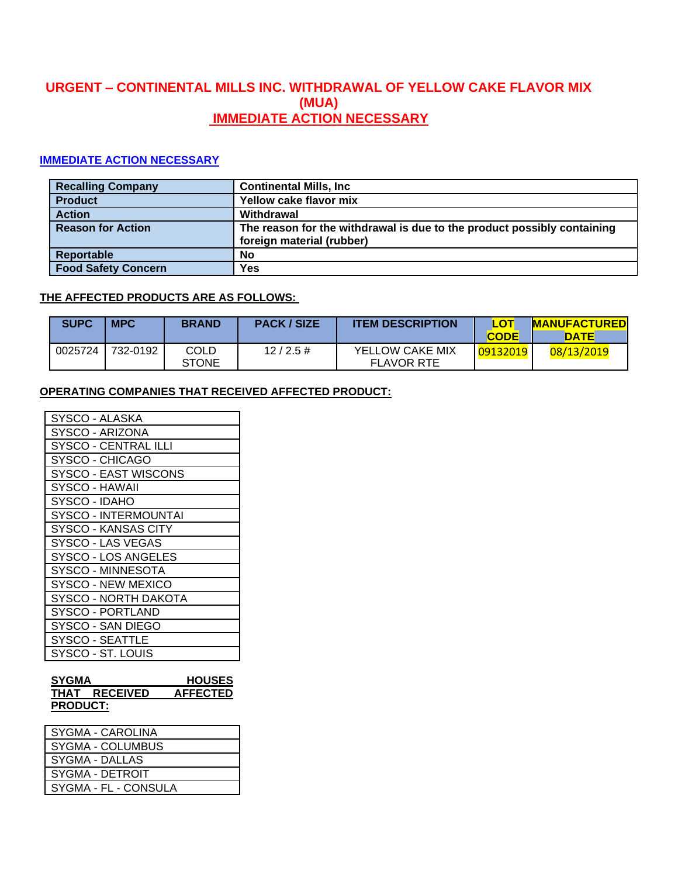# **URGENT – CONTINENTAL MILLS INC. WITHDRAWAL OF YELLOW CAKE FLAVOR MIX (MUA) IMMEDIATE ACTION NECESSARY**

## **IMMEDIATE ACTION NECESSARY**

| <b>Recalling Company</b>   | <b>Continental Mills, Inc.</b>                                                                       |
|----------------------------|------------------------------------------------------------------------------------------------------|
| <b>Product</b>             | Yellow cake flavor mix                                                                               |
| <b>Action</b>              | Withdrawal                                                                                           |
| <b>Reason for Action</b>   | The reason for the withdrawal is due to the product possibly containing<br>foreign material (rubber) |
| Reportable                 | No                                                                                                   |
| <b>Food Safety Concern</b> | Yes                                                                                                  |

## **THE AFFECTED PRODUCTS ARE AS FOLLOWS:**

| <b>SUPC</b> | <b>MPC</b> | <b>BRAND</b>         | <b>PACK / SIZE</b> | <b>ITEM DESCRIPTION</b>              | LOT<br><b>CODE</b> | <b>MANUFACTURED</b><br>DATE |
|-------------|------------|----------------------|--------------------|--------------------------------------|--------------------|-----------------------------|
| 0025724     | 732-0192   | COLD<br><b>STONE</b> | $12/2.5 \#$        | YELLOW CAKE MIX<br><b>FLAVOR RTE</b> | 09132019           | 08/13/2019                  |

### **OPERATING COMPANIES THAT RECEIVED AFFECTED PRODUCT:**

| SYGMA<br><b>HOUSES</b>      |
|-----------------------------|
| SYSCO - ST. LOUIS           |
| SYSCO - SEATTLE             |
| SYSCO - SAN DIEGO           |
| SYSCO - PORTLAND            |
| SYSCO - NORTH DAKOTA        |
| SYSCO - NEW MEXICO          |
| SYSCO - MINNESOTA           |
| SYSCO - LOS ANGELES         |
| SYSCO - LAS VEGAS           |
| SYSCO - KANSAS CITY         |
| SYSCO - INTERMOUNTAI        |
| SYSCO - IDAHO               |
| SYSCO - HAWAII              |
| <b>SYSCO - EAST WISCONS</b> |
| SYSCO - CHICAGO             |
| SYSCO - CENTRAL ILLI        |
| SYSCO - ARIZONA             |
| SYSCO - ALASKA              |

| <b>SYGMA</b>    |                 | <b>HOUSES</b>   |
|-----------------|-----------------|-----------------|
| THAT            | <b>RECEIVED</b> | <b>AFFECTED</b> |
| <b>PRODUCT:</b> |                 |                 |

| <b>SYGMA - CAROLINA</b> |
|-------------------------|
| SYGMA - COLUMBUS        |
| SYGMA - DALLAS          |
| SYGMA - DETROIT         |
| SYGMA - FL - CONSULA    |